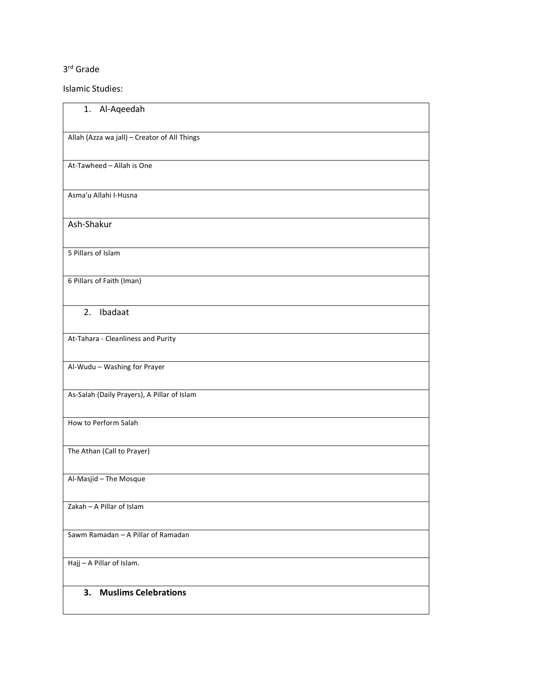## 3rd Grade

Islamic Studies:

| 1. Al-Aqeedah                                |
|----------------------------------------------|
| Allah (Azza wa jall) - Creator of All Things |
| At-Tawheed - Allah is One                    |
| Asma'u Allahi I-Husna                        |
| Ash-Shakur                                   |
| 5 Pillars of Islam                           |
| 6 Pillars of Faith (Iman)                    |
| 2. Ibadaat                                   |
| At-Tahara - Cleanliness and Purity           |
| Al-Wudu - Washing for Prayer                 |
| As-Salah (Daily Prayers), A Pillar of Islam  |
| How to Perform Salah                         |
| The Athan (Call to Prayer)                   |
| Al-Masjid - The Mosque                       |
| Zakah - A Pillar of Islam                    |
| Sawm Ramadan - A Pillar of Ramadan           |
| Hajj - A Pillar of Islam.                    |
| <b>Muslims Celebrations</b><br>3.            |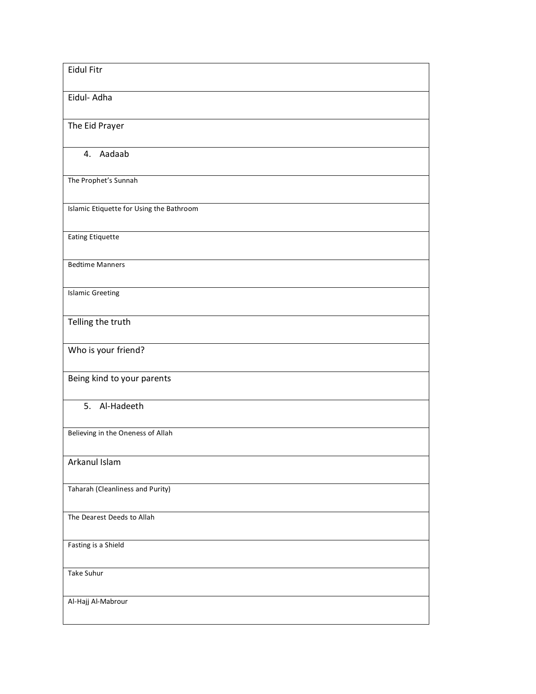| <b>Eidul Fitr</b>                        |
|------------------------------------------|
| Eidul- Adha                              |
| The Eid Prayer                           |
| 4. Aadaab                                |
| The Prophet's Sunnah                     |
| Islamic Etiquette for Using the Bathroom |
| <b>Eating Etiquette</b>                  |
| <b>Bedtime Manners</b>                   |
| <b>Islamic Greeting</b>                  |
| Telling the truth                        |
| Who is your friend?                      |
| Being kind to your parents               |
| 5. Al-Hadeeth                            |
| Believing in the Oneness of Allah        |
| Arkanul Islam                            |
| Taharah (Cleanliness and Purity)         |
| The Dearest Deeds to Allah               |
| Fasting is a Shield                      |
| Take Suhur                               |
| Al-Hajj Al-Mabrour                       |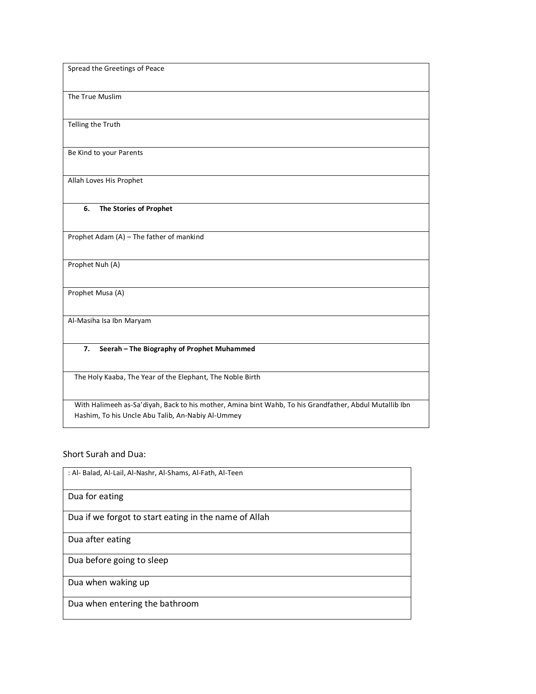| Spread the Greetings of Peace                                                                                                                               |
|-------------------------------------------------------------------------------------------------------------------------------------------------------------|
| The True Muslim                                                                                                                                             |
| Telling the Truth                                                                                                                                           |
| Be Kind to your Parents                                                                                                                                     |
| Allah Loves His Prophet                                                                                                                                     |
| The Stories of Prophet<br>6.                                                                                                                                |
| Prophet Adam (A) - The father of mankind                                                                                                                    |
| Prophet Nuh (A)                                                                                                                                             |
| Prophet Musa (A)                                                                                                                                            |
| Al-Masiha Isa Ibn Maryam                                                                                                                                    |
| Seerah - The Biography of Prophet Muhammed<br>7.                                                                                                            |
| The Holy Kaaba, The Year of the Elephant, The Noble Birth                                                                                                   |
| With Halimeeh as-Sa'diyah, Back to his mother, Amina bint Wahb, To his Grandfather, Abdul Mutallib Ibn<br>Hashim, To his Uncle Abu Talib, An-Nabiy Al-Ummey |

## Short Surah and Dua:

| : Al- Balad, Al-Lail, Al-Nashr, Al-Shams, Al-Fath, Al-Teen |
|------------------------------------------------------------|
| Dua for eating                                             |
| Dua if we forgot to start eating in the name of Allah      |
| Dua after eating                                           |
| Dua before going to sleep                                  |
| Dua when waking up                                         |
| Dua when entering the bathroom                             |